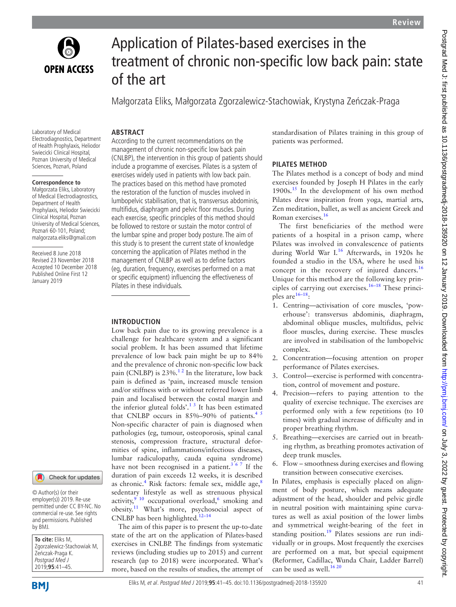

# Application of Pilates-based exercises in the treatment of chronic non-specific low back pain: state of the art

Małgorzata Eliks, Małgorzata Zgorzalewicz-Stachowiak, Krystyna Zeńczak-Praga

# **ARSTRACT**

Laboratory of Medical Electrodiagnostics, Department of Health Prophylaxis, Heliodor Swiecicki Clinical Hospital, Poznan University of Medical Sciences, Poznań, Poland

#### **Correspondence to**

Małgorzata Eliks, Laboratory of Medical Electrodiagnostics, Department of Health Prophylaxis, Heliodor Swiecicki Clinical Hospital, Poznan University of Medical Sciences, Poznań 60-101, Poland; malgorzata.eliks@gmail.com

Received 8 June 2018 Revised 23 November 2018 Accepted 10 December 2018 Published Online First 12 January 2019

# Check for updates

© Author(s) (or their employer(s)) 2019. Re-use permitted under CC BY-NC. No commercial re-use. See rights and permissions. Published by BMJ.

**To cite:** Eliks M, Zgorzalewicz-Stachowiak M, Zeńczak-Praga K. Postgrad Med J 2019;**95**:41–45.

According to the current recommendations on the management of chronic non-specific low back pain (CNLBP), the intervention in this group of patients should include a programme of exercises. Pilates is a system of exercises widely used in patients with low back pain. The practices based on this method have promoted the restoration of the function of muscles involved in lumbopelvic stabilisation, that is, transversus abdominis, multifidus, diaphragm and pelvic floor muscles. During each exercise, specific principles of this method should be followed to restore or sustain the motor control of the lumbar spine and proper body posture. The aim of this study is to present the current state of knowledge concerning the application of Pilates method in the management of CNLBP as well as to define factors (eg, duration, frequency, exercises performed on a mat or specific equipment) influencing the effectiveness of Pilates in these individuals.

# **Introduction**

Low back pain due to its growing prevalence is a challenge for healthcare system and a significant social problem. It has been assumed that lifetime prevalence of low back pain might be up to 84% and the prevalence of chronic non-specific low back pain (CNLBP) is  $23\%$ .<sup>12</sup> In the literature, low back pain is defined as 'pain, increased muscle tension and/or stiffness with or without referred lower limb pain and localised between the costal margin and the inferior gluteal folds'. $13$  It has been estimated that CNLBP occurs in  $85\% - 90\%$  of patients.<sup>45</sup> Non-specific character of pain is diagnosed when pathologies (eg, tumour, osteoporosis, spinal canal stenosis, compression fracture, structural deformities of spine, inflammations/infectious diseases, lumbar radiculopathy, cauda equina syndrome) have not been recognised in a patient.<sup>3 6 7</sup> If the duration of pain exceeds 12 weeks, it is described as chronic.<sup>[4](#page-3-1)</sup> Risk factors: female sex, middle age,<sup>[8](#page-3-3)</sup> sedentary lifestyle as well as strenuous physical activity,  $3^{9}$  10 occupational overload,  $6$  smoking and obesity.[11](#page-4-1) What's more, psychosocial aspect of CNLBP has been highlighted. $12-14$ 

The aim of this paper is to present the up-to-date state of the art on the application of Pilates-based exercises in CNLBP. The findings from systematic reviews (including studies up to 2015) and current research (up to 2018) were incorporated. What's more, based on the results of studies, the attempt of standardisation of Pilates training in this group of patients was performed.

# **Pilates method**

The Pilates method is a concept of body and mind exercises founded by Joseph H Pilates in the early 1900s.<sup>[15](#page-4-3)</sup> In the development of his own method Pilates drew inspiration from yoga, martial arts, Zen meditation, ballet, as well as ancient Greek and Roman exercises[.16](#page-4-4)

The first beneficiaries of the method were patients of a hospital in a prison camp, where Pilates was involved in convalescence of patients during World War I.<sup>[16](#page-4-4)</sup> Afterwards, in 1920s he founded a studio in the USA, where he used his concept in the recovery of injured dancers.<sup>[16](#page-4-4)</sup> Unique for this method are the following key principles of carrying out exercises.<sup>16–18</sup> These principles are $16-18$ :

- 1. Centring—activisation of core muscles, 'powerhouse': transversus abdominis, diaphragm, abdominal oblique muscles, multifidus, pelvic floor muscles, during exercise. These muscles are involved in stabilisation of the lumbopelvic complex.
- 2. Concentration—focusing attention on proper performance of Pilates exercises.
- 3. Control—exercise is performed with concentration, control of movement and posture.
- 4. Precision—refers to paying attention to the quality of exercise technique. The exercises are performed only with a few repetitions (to 10 times) with gradual increase of difficulty and in proper breathing rhythm.
- 5. Breathing—exercises are carried out in breathing rhythm, as breathing promotes activation of deep trunk muscles.
- 6. Flow smoothness during exercises and flowing transition between consecutive exercises.

In Pilates, emphasis is especially placed on alignment of body posture, which means adequate adjustment of the head, shoulder and pelvic girdle in neutral position with maintaining spine curvatures as well as axial position of the lower limbs and symmetrical weight-bearing of the feet in standing position.<sup>19</sup> Pilates sessions are run individually or in groups. Most frequently the exercises are performed on a mat, but special equipment (Reformer, Cadillac, Wunda Chair, Ladder Barrel) can be used as well.<sup>16 20</sup>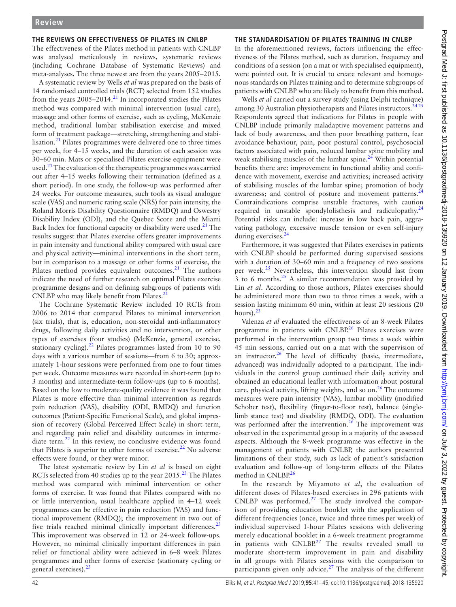#### **The reviews on effectiveness of Pilates in CNLBP**

The effectiveness of the Pilates method in patients with CNLBP was analysed meticulously in reviews, systematic reviews (including Cochrane Database of Systematic Reviews) and meta-analyses. The three newest are from the years 2005–2015.

A systematic review by Wells *et al* was prepared on the basis of 14 randomised controlled trials (RCT) selected from 152 studies from the years  $2005-2014$ <sup>[21](#page-4-6)</sup> In incorporated studies the Pilates method was compared with minimal intervention (usual care), massage and other forms of exercise, such as cycling, McKenzie method, traditional lumbar stabilisation exercise and mixed form of treatment package—stretching, strengthening and stabilisation.[21](#page-4-6) Pilates programmes were delivered one to three times per week, for 4–15 weeks, and the duration of each session was 30–60 min. Mats or specialised Pilates exercise equipment were used. $^{21}$  The evaluation of the therapeutic programmes was carried out after 4–15 weeks following their termination (defined as a short period). In one study, the follow-up was performed after 24 weeks. For outcome measures, such tools as visual analogue scale (VAS) and numeric rating scale (NRS) for pain intensity, the Roland Morris Disability Questionnaire (RMDQ) and Oswestry Disability Index (ODI), and the Quebec Score and the Miami Back Index for functional capacity or disability were used.<sup>21</sup> The results suggest that Pilates exercise offers greater improvements in pain intensity and functional ability compared with usual care and physical activity—minimal interventions in the short term, but in comparison to a massage or other forms of exercise, the Pilates method provides equivalent outcomes.<sup>21</sup> The authors indicate the need of further research on optimal Pilates exercise programme designs and on defining subgroups of patients with CNLBP who may likely benefit from Pilates.<sup>2</sup>

The Cochrane Systematic Review included 10 RCTs from 2006 to 2014 that compared Pilates to minimal intervention (six trials), that is, education, non-steroidal anti-inflammatory drugs, following daily activities and no intervention, or other types of exercises (four studies) (McKenzie, general exercise, stationary cycling). $^{22}$  Pilates programmes lasted from 10 to 90 days with a various number of sessions—from 6 to 30; approximately 1-hour sessions were performed from one to four times per week. Outcome measures were recorded in short-term (up to 3 months) and intermediate-term follow-ups (up to 6 months). Based on the low to moderate-quality evidence it was found that Pilates is more effective than minimal intervention as regards pain reduction (VAS), disability (ODI, RMDQ) and function outcomes (Patient-Specific Functional Scale), and global impression of recovery (Global Perceived Effect Scale) in short term, and regarding pain relief and disability outcomes in intermediate term.<sup>22</sup> In this review, no conclusive evidence was found that Pilates is superior to other forms of exercise.<sup>22</sup> No adverse effects were found, or they were minor.

The latest systematic review by Lin *et al* is based on eight RCTs selected from 40 studies up to the year 2015.<sup>[23](#page-4-8)</sup> The Pilates method was compared with minimal intervention or other forms of exercise. It was found that Pilates compared with no or little intervention, usual healthcare applied in 4–12 week programmes can be effective in pain reduction (VAS) and functional improvement (RMDQ); the improvement in two out of five trials reached minimal clinically important differences. $^{23}$  $^{23}$  $^{23}$ This improvement was observed in 12 or 24-week follow-ups. However, no minimal clinically important differences in pain relief or functional ability were achieved in 6–8 week Pilates programmes and other forms of exercise (stationary cycling or general exercises).[23](#page-4-8)

# **The standardisation of Pilates training in CNLBP**

In the aforementioned reviews, factors influencing the effectiveness of the Pilates method, such as duration, frequency and conditions of a session (on a mat or with specialised equipment), were pointed out. It is crucial to create relevant and homogenous standards on Pilates training and to determine subgroups of patients with CNLBP who are likely to benefit from this method.

Wells *et al* carried out a survey study (using Delphi technique) among 30 Australian physiotherapists and Pilates instructors.<sup>2425</sup> Respondents agreed that indications for Pilates in people with CNLBP include primarily maladaptive movement patterns and lack of body awareness, and then poor breathing pattern, fear avoidance behaviour, pain, poor postural control, psychosocial factors associated with pain, reduced lumbar spine mobility and weak stabilising muscles of the lumbar spine. $^{24}$  $^{24}$  $^{24}$  Within potential benefits there are: improvement in functional ability and confidence with movement, exercise and activities; increased activity of stabilising muscles of the lumbar spine; promotion of body awareness; and control of posture and movement patterns.<sup>2</sup> Contraindications comprise unstable fractures, with caution required in unstable spondylolisthesis and radiculopathy.<sup>[24](#page-4-9)</sup> Potential risks can include: increase in low back pain, aggravating pathology, excessive muscle tension or even self-injury during exercises.<sup>[24](#page-4-9)</sup>

Furthermore, it was suggested that Pilates exercises in patients with CNLBP should be performed during supervised sessions with a duration of 30–60 min and a frequency of two sessions per week.<sup>[25](#page-4-10)</sup> Nevertheless, this intervention should last from  $3$  to 6 months.<sup>[25](#page-4-10)</sup> A similar recommendation was provided by Lin *et al*. According to those authors, Pilates exercises should be administered more than two to three times a week, with a session lasting minimum 60 min, within at least 20 sessions (20 hours). $23$ 

Valenza *et al* evaluated the effectiveness of an 8-week Pilates programme in patients with  $CNLBP<sup>26</sup>$  Pilates exercises were performed in the intervention group two times a week within 45 min sessions, carried out on a mat with the supervision of an instructor. $26$  The level of difficulty (basic, intermediate, advanced) was individually adopted to a participant. The individuals in the control group continued their daily activity and obtained an educational leaflet with information about postural care, physical activity, lifting weights, and so on.<sup>26</sup> The outcome measures were pain intensity (VAS), lumbar mobility (modified Schober test), flexibility (finger-to-floor test), balance (singlelimb stance test) and disability (RMDQ, ODI). The evaluation was performed after the intervention.<sup>26</sup> The improvement was observed in the experimental group in a majority of the assessed aspects. Although the 8-week programme was effective in the management of patients with CNLBP, the authors presented limitations of their study, such as lack of patient's satisfaction evaluation and follow-up of long-term effects of the Pilates method in CNLBP.<sup>26</sup>

In the research by Miyamoto *et al*, the evaluation of different doses of Pilates-based exercises in 296 patients with CNLBP was performed. $27$  The study involved the comparison of providing education booklet with the application of different frequencies (once, twice and three times per week) of individual supervised 1-hour Pilates sessions with delivering merely educational booklet in a 6-week treatment programme in patients with  $CNLBP<sup>27</sup>$  The results revealed small to moderate short-term improvement in pain and disability in all groups with Pilates sessions with the comparison to participants given only advice.<sup>[27](#page-4-12)</sup> The analysis of the different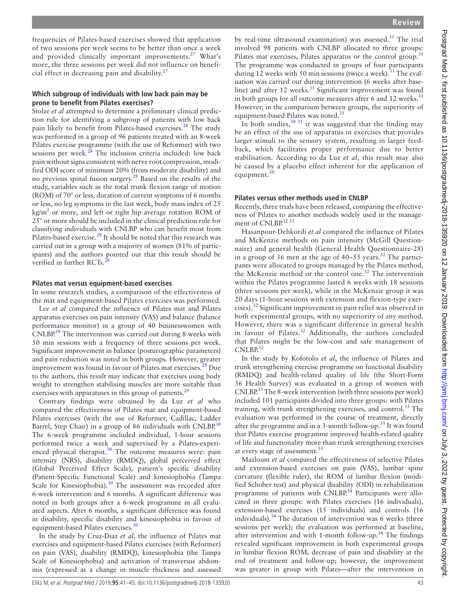frequencies of Pilates-based exercises showed that application of two sessions per week seems to be better than once a week and provided clinically important improvements.<sup>[27](#page-4-12)</sup> What's more, the three sessions per week did not influence on beneficial effect in decreasing pain and disability. $27$ 

#### **Which subgroup of individuals with low back pain may be prone to benefit from Pilates exercises?**

Stolze *et al* attempted to determine a preliminary clinical prediction rule for identifying a subgroup of patients with low back pain likely to benefit from Pilates-based exercises.<sup>28</sup> The study was performed in a group of 96 patients treated with an 8-week Pilates exercise programme (with the use of Reformer) with two sessions per week. $^{28}$  The inclusion criteria included: low back pain without signs consistent with nerve root compression, modified ODI score of minimum 20% (from moderate disability) and no previous spinal fusion surgery.[28](#page-4-13) Based on the results of the study, variables such as the total trunk flexion range of motion (ROM) of 70° or less, duration of current symptoms of 6 months or less, no leg symptoms in the last week, body mass index of 25  $\text{kg/m}^2$  or more, and left or right hip average rotation ROM of 25° or more should be included in the clinical prediction rule for classifying individuals with CNLBP who can benefit most from Pilates-based exercise.<sup>28</sup> It should be noted that this research was carried out in a group with a majority of women (81% of participants) and the authors pointed out that this result should be verified in further RCTs.<sup>[28](#page-4-13)</sup>

#### **Pilates mat versus equipment-based exercises**

In some research studies, a comparison of the effectiveness of the mat and equipment-based Pilates exercises was performed.

Lee *et al* compared the influence of Pilates mat and Pilates apparatus exercises on pain intensity (VAS) and balance (balance performance monitor) in a group of 40 businesswomen with CNLBP.<sup>29</sup> The intervention was carried out during 8 weeks with 50 min sessions with a frequency of three sessions per week. Significant improvement in balance (posturographic parameters) and pain reduction was noted in both groups. However, greater improvement was found in favour of Pilates mat exercises.<sup>[29](#page-4-14)</sup> Due to the authors, this result may indicate that exercises using body weight to strengthen stabilising muscles are more suitable than exercises with apparatuses in this group of patients.<sup>29</sup>

Contrary findings were obtained by da Luz *et al* who compared the effectiveness of Pilates mat and equipment-based Pilates exercises (with the use of Reformer, Cadillac, Ladder Barrel, Step Chair) in a group of 86 individuals with CNLBP.<sup>[30](#page-4-15)</sup> The 6-week programme included individual, 1-hour sessions performed twice a week and supervised by a Pilates-experi-enced physical therapist.<sup>[30](#page-4-15)</sup> The outcome measures were: pain intensity (NRS), disability (RMDQ), global perceived effect (Global Perceived Effect Scale), patient's specific disability (Patient-Specific Functional Scale) and kinesiophobia (Tampa Scale for Kinesiophobia).<sup>30</sup> The assessment was recorded after 6-week intervention and 6 months. A significant difference was noted in both groups after a 6-week programme in all evaluated aspects. After 6 months, a significant difference was found in disability, specific disability and kinesiophobia in favour of equipment-based Pilates exercises.<sup>[30](#page-4-15)</sup>

In the study by Cruz-Diaz *et al*, the influence of Pilates mat exercises and equipment-based Pilates exercises (with Reformer) on pain (VAS), disability (RMDQ), kinesiophobia (the Tampa Scale of Kinesiophobia) and activation of transversus abdominis (expressed as a change in muscle thickness and assessed

by real-time ultrasound examination) was assessed. $31$  The trial involved 98 patients with CNLBP allocated to three groups: Pilates mat exercises, Pilates apparatus or the control group.<sup>[31](#page-4-16)</sup> The programme was conducted in groups of four participants during 12 weeks with 50 min sessions (twice a week).<sup>31</sup> The evaluation was carried out during intervention (6 weeks after baseline) and after 12 weeks.<sup>31</sup> Significant improvement was found in both groups for all outcome measures after 6 and 12 weeks. $31$ However, in the comparison between groups, the superiority of equipment-based Pilates was noted.<sup>31</sup>

In both studies,  $30\frac{31}{1}$  it was suggested that the finding may be an effect of the use of apparatus in exercises that provides larger stimuli to the sensory system, resulting in larger feedback, which facilitates proper performance due to better stabilisation. According to da Luz *et al*, this result may also be caused by a placebo effect inherent for the application of equipment.

#### **Pilates versus other methods used in CNLBP**

Recently, three trials have been released, comparing the effectiveness of Pilates to another methods widely used in the management of CNLBP.<sup>32</sup> 33

Hasanpour-Dehkordi *et al* compared the influence of Pilates and McKenzie methods on pain intensity (McGill Questionnaire) and general health (General Health Questionnaire-28) in a group of 36 men at the age of  $40-55$  years.<sup>32</sup> The participants were allocated to groups managed by the Pilates method, the McKenzie method or the control one.<sup>32</sup> The intervention within the Pilates programme lasted 6 weeks with 18 sessions (three sessions per week), while in the McKenzie group it was 20 days (1-hour sessions with extension and flexion-type exer-cises).<sup>[32](#page-4-17)</sup> Significant improvement in pain relief was observed in both experimental groups, with no superiority of any method. However, there was a significant difference in general health in favour of Pilates. $32$  Additionally, the authors concluded that Pilates might be the low-cost and safe management of CNLBP.<sup>[32](#page-4-17)</sup>

In the study by Kofotolis *et al*, the influence of Pilates and trunk strengthening exercise programme on functional disability (RMDQ) and health-related quality of life (the Short-Form 36 Health Survey) was evaluated in a group of women with CNLBP.<sup>33</sup> The 8-week intervention (with three sessions per week) included 101 participants divided into three groups: with Pilates training, with trunk strengthening exercises, and control.<sup>[33](#page-4-18)</sup> The evaluation was performed in the course of treatment, directly after the programme and in a 3-month follow-up.<sup>[33](#page-4-18)</sup> It was found that Pilates exercise programme improved health-related quality of life and functionality more than trunk strengthening exercises at every stage of assessment.<sup>[33](#page-4-18)</sup>

Mazloum *et al* compared the effectiveness of selective Pilates and extension-based exercises on pain (VAS), lumbar spine curvature (flexible ruler), the ROM of lumbar flexion (modified Schober test) and physical disability (ODI) in rehabilitation programme of patients with CNLBP.<sup>[34](#page-4-19)</sup> Participants were allocated in three groups: with Pilates exercises (16 individuals), extension-based exercises (15 individuals) and controls (16 individuals).<sup>34</sup> The duration of intervention was 6 weeks (three sessions per week); the evaluation was performed at baseline, after intervention and with 1-month follow-up.<sup>[34](#page-4-19)</sup> The findings revealed significant improvement in both experimental groups in lumbar flexion ROM, decrease of pain and disability at the end of treatment and follow-up; however, the improvement was greater in group with Pilates—after the intervention in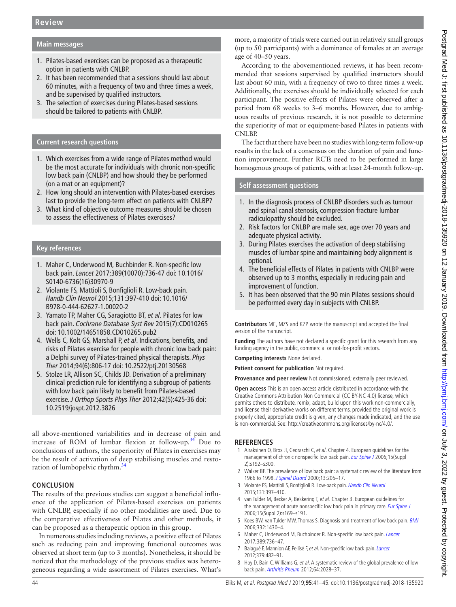## **Main messages**

- 1. Pilates-based exercises can be proposed as a therapeutic option in patients with CNLBP.
- 2. It has been recommended that a sessions should last about 60 minutes, with a frequency of two and three times a week, and be supervised by qualified instructors.
- 3. The selection of exercises during Pilates-based sessions should be tailored to patients with CNLBP.

#### **Current research questions**

- 1. Which exercises from a wide range of Pilates method would be the most accurate for individuals with chronic non-specific low back pain (CNLBP) and how should they be performed (on a mat or an equipment)?
- 2. How long should an intervention with Pilates-based exercises last to provide the long-term effect on patients with CNLBP?
- 3. What kind of objective outcome measures should be chosen to assess the effectiveness of Pilates exercises?

#### **Key references**

- 1. Maher C, Underwood M, Buchbinder R. Non-specific low back pain. *Lancet* 2017;389(10070):736-47 doi: 10.1016/ S0140-6736(16)30970-9
- 2. Violante FS, Mattioli S, Bonfiglioli R. Low-back pain. *Handb Clin Neurol* 2015;131:397-410 doi: 10.1016/ B978-0-444-62627-1.00020-2
- 3. Yamato TP, Maher CG, Saragiotto BT, *et al*. Pilates for low back pain. *Cochrane Database Syst Rev* 2015(7):CD010265 doi: 10.1002/14651858.CD010265.pub2
- 4. Wells C, Kolt GS, Marshall P, *et al*. Indications, benefits, and risks of Pilates exercise for people with chronic low back pain: a Delphi survey of Pilates-trained physical therapists. *Phys Ther* 2014;94(6):806-17 doi: 10.2522/ptj.20130568
- 5. Stolze LR, Allison SC, Childs JD. Derivation of a preliminary clinical prediction rule for identifying a subgroup of patients with low back pain likely to benefit from Pilates-based exercise. *J Orthop Sports Phys Ther* 2012;42(5):425-36 doi: 10.2519/jospt.2012.3826

all above-mentioned variabilities and in decrease of pain and increase of ROM of lumbar flexion at follow-up.<sup>34</sup> Due to conclusions of authors, the superiority of Pilates in exercises may be the result of activation of deep stabilising muscles and resto-ration of lumbopelvic rhythm.<sup>[34](#page-4-19)</sup>

## **Conclusion**

The results of the previous studies can suggest a beneficial influence of the application of Pilates-based exercises on patients with CNLBP, especially if no other modalities are used. Due to the comparative effectiveness of Pilates and other methods, it can be proposed as a therapeutic option in this group.

In numerous studies including reviews, a positive effect of Pilates such as reducing pain and improving functional outcomes was observed at short term (up to 3 months). Nonetheless, it should be noticed that the methodology of the previous studies was heterogeneous regarding a wide assortment of Pilates exercises. What's

more, a majority of trials were carried out in relatively small groups (up to 50 participants) with a dominance of females at an average age of 40–50 years.

According to the abovementioned reviews, it has been recommended that sessions supervised by qualified instructors should last about 60 min, with a frequency of two to three times a week. Additionally, the exercises should be individually selected for each participant. The positive effects of Pilates were observed after a period from 68 weeks to 3–6 months. However, due to ambiguous results of previous research, it is not possible to determine the superiority of mat or equipment-based Pilates in patients with CNLBP.

The fact that there have been no studies with long-term follow-up results in the lack of a consensus on the duration of pain and function improvement. Further RCTs need to be performed in large homogenous groups of patients, with at least 24-month follow-up.

# **Self assessment questions**

- 1. In the diagnosis process of CNLBP disorders such as tumour and spinal canal stenosis, compression fracture lumbar radiculopathy should be excluded.
- 2. Risk factors for CNLBP are male sex, age over 70 years and adequate physical activity.
- 3. During Pilates exercises the activation of deep stabilising muscles of lumbar spine and maintaining body alignment is optional.
- 4. The beneficial effects of Pilates in patients with CNLBP were observed up to 3 months, especially in reducing pain and improvement of function.
- 5. It has been observed that the 90 min Pilates sessions should be performed every day in subjects with CNLBP.

**Contributors** ME, MZS and KZP wrote the manuscript and accepted the final version of the manuscript.

**Funding** The authors have not declared a specific grant for this research from any funding agency in the public, commercial or not-for-profit sectors.

**Competing interests** None declared.

**Patient consent for publication** Not required.

**Provenance and peer review** Not commissioned; externally peer reviewed.

**Open access** This is an open access article distributed in accordance with the Creative Commons Attribution Non Commercial (CC BY-NC 4.0) license, which permits others to distribute, remix, adapt, build upon this work non-commercially, and license their derivative works on different terms, provided the original work is properly cited, appropriate credit is given, any changes made indicated, and the use is non-commercial. See: [http://creativecommons.org/licenses/by-nc/4.0/.](http://creativecommons.org/licenses/by-nc/4.0/)

#### **References**

- <span id="page-3-0"></span>1 Airaksinen O, Brox JI, Cedraschi C, et al. Chapter 4. European guidelines for the management of chronic nonspecific low back pain. [Eur Spine J](http://dx.doi.org/10.1007/s00586-006-1072-1) 2006;15(Suppl 2):s192–s300.
- 2 Walker BF. The prevalence of low back pain: a systematic review of the literature from 1966 to 1998. [J Spinal Disord](http://dx.doi.org/10.1097/00002517-200006000-00003) 2000:13:205-17.
- <span id="page-3-2"></span>3 Violante FS, Mattioli S, Bonfiglioli R. Low-back pain. [Handb Clin Neurol](http://dx.doi.org/10.1016/B978-0-444-62627-1.00020-2) 2015;131:397–410.
- <span id="page-3-1"></span>4 van Tulder M, Becker A, Bekkering T, et al. Chapter 3. European guidelines for the management of acute nonspecific low back pain in primary care. [Eur Spine J](http://dx.doi.org/10.1007/s00586-006-1071-2) 2006;15(Suppl 2):s169–s191.
- 5 Koes BW, van Tulder MW, Thomas S. Diagnosis and treatment of low back pain. [BMJ](http://dx.doi.org/10.1136/bmj.332.7555.1430) 2006;332:1430–4.
- <span id="page-3-4"></span>6 Maher C, Underwood M, Buchbinder R. Non-specific low back pain. [Lancet](http://dx.doi.org/10.1016/S0140-6736(16)30970-9) 2017;389:736–47.
- 7 Balagué F, Mannion AF, Pellisé F, et al. Non-specific low back pain. [Lancet](http://dx.doi.org/10.1016/S0140-6736(11)60610-7) 2012;379:482–91.
- <span id="page-3-3"></span>8 Hoy D, Bain C, Williams G, et al. A systematic review of the global prevalence of low back pain. [Arthritis Rheum](http://dx.doi.org/10.1002/art.34347) 2012;64:2028–37.